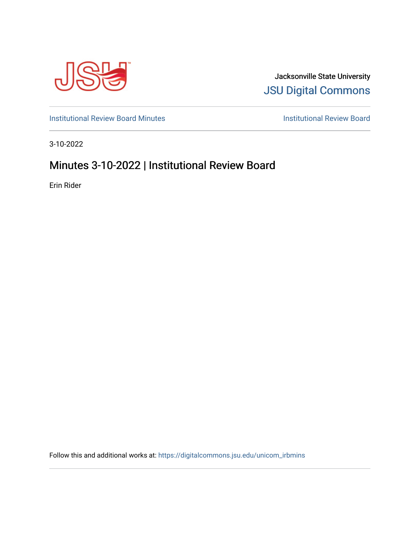

Jacksonville State University [JSU Digital Commons](https://digitalcommons.jsu.edu/) 

[Institutional Review Board Minutes](https://digitalcommons.jsu.edu/unicom_irbmins) **Institutional Review Board** 

3-10-2022

## Minutes 3-10-2022 | Institutional Review Board

Erin Rider

Follow this and additional works at: [https://digitalcommons.jsu.edu/unicom\\_irbmins](https://digitalcommons.jsu.edu/unicom_irbmins?utm_source=digitalcommons.jsu.edu%2Funicom_irbmins%2F3&utm_medium=PDF&utm_campaign=PDFCoverPages)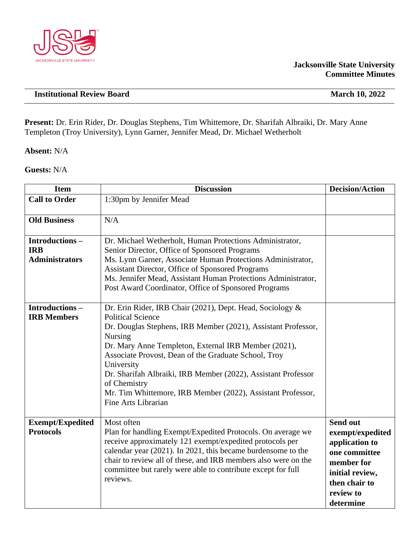

## **Jacksonville State University Committee Minutes**

**Present:** Dr. Erin Rider, Dr. Douglas Stephens, Tim Whittemore, Dr. Sharifah Albraiki, Dr. Mary Anne Templeton (Troy University), Lynn Garner, Jennifer Mead, Dr. Michael Wetherholt

**Absent:** N/A

**Guests:** N/A

| <b>Item</b>                                           | <b>Discussion</b>                                                                                                                                                                                                                                                                                                                                                                                                                                                             | <b>Decision/Action</b>                                                                                                                      |
|-------------------------------------------------------|-------------------------------------------------------------------------------------------------------------------------------------------------------------------------------------------------------------------------------------------------------------------------------------------------------------------------------------------------------------------------------------------------------------------------------------------------------------------------------|---------------------------------------------------------------------------------------------------------------------------------------------|
| <b>Call to Order</b>                                  | 1:30pm by Jennifer Mead                                                                                                                                                                                                                                                                                                                                                                                                                                                       |                                                                                                                                             |
| <b>Old Business</b>                                   | N/A                                                                                                                                                                                                                                                                                                                                                                                                                                                                           |                                                                                                                                             |
| Introductions-<br><b>IRB</b><br><b>Administrators</b> | Dr. Michael Wetherholt, Human Protections Administrator,<br>Senior Director, Office of Sponsored Programs<br>Ms. Lynn Garner, Associate Human Protections Administrator,<br>Assistant Director, Office of Sponsored Programs<br>Ms. Jennifer Mead, Assistant Human Protections Administrator,<br>Post Award Coordinator, Office of Sponsored Programs                                                                                                                         |                                                                                                                                             |
| <b>Introductions-</b><br><b>IRB Members</b>           | Dr. Erin Rider, IRB Chair (2021), Dept. Head, Sociology &<br><b>Political Science</b><br>Dr. Douglas Stephens, IRB Member (2021), Assistant Professor,<br>Nursing<br>Dr. Mary Anne Templeton, External IRB Member (2021),<br>Associate Provost, Dean of the Graduate School, Troy<br>University<br>Dr. Sharifah Albraiki, IRB Member (2022), Assistant Professor<br>of Chemistry<br>Mr. Tim Whittemore, IRB Member (2022), Assistant Professor,<br><b>Fine Arts Librarian</b> |                                                                                                                                             |
| <b>Exempt/Expedited</b><br><b>Protocols</b>           | Most often<br>Plan for handling Exempt/Expedited Protocols. On average we<br>receive approximately 121 exempt/expedited protocols per<br>calendar year (2021). In 2021, this became burdensome to the<br>chair to review all of these, and IRB members also were on the<br>committee but rarely were able to contribute except for full<br>reviews.                                                                                                                           | Send out<br>exempt/expedited<br>application to<br>one committee<br>member for<br>initial review,<br>then chair to<br>review to<br>determine |